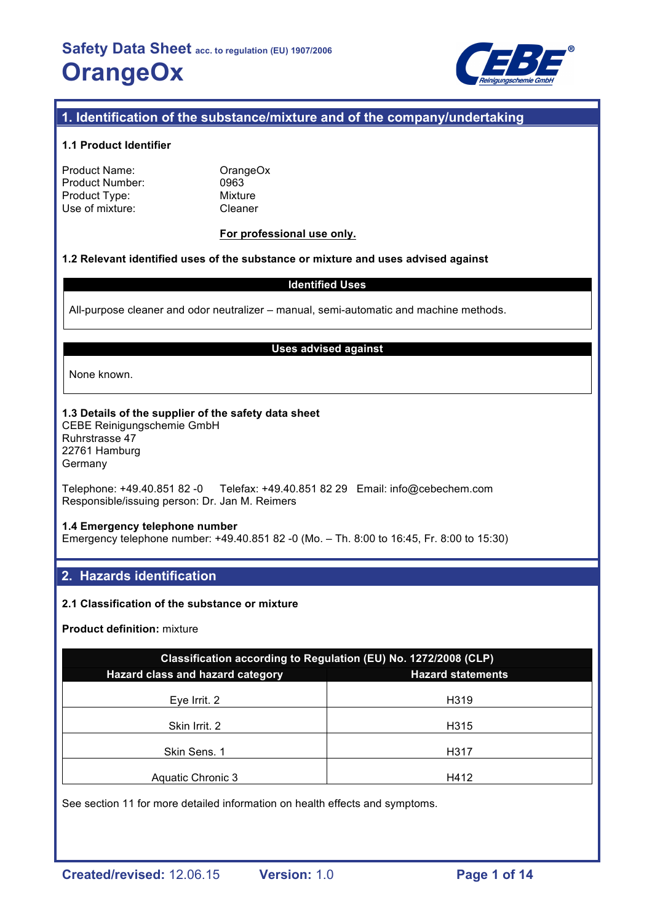

## **1. Identification of the substance/mixture and of the company/undertaking**

### **1.1 Product Identifier**

| Product Name:   |
|-----------------|
| Product Number: |
| Product Type:   |
| Use of mixture: |

OrangeOx 0963 **Mixture** Cleaner

### **For professional use only.**

#### **1.2 Relevant identified uses of the substance or mixture and uses advised against**

#### **Identified Uses**

All-purpose cleaner and odor neutralizer – manual, semi-automatic and machine methods.

#### **Uses advised against**

None known.

### **1.3 Details of the supplier of the safety data sheet**

CEBE Reinigungschemie GmbH Ruhrstrasse 47 22761 Hamburg Germany

Telephone: +49.40.851 82 -0 Telefax: +49.40.851 82 29 Email: info@cebechem.com Responsible/issuing person: Dr. Jan M. Reimers

#### **1.4 Emergency telephone number**

Emergency telephone number: +49.40.851 82 -0 (Mo. – Th. 8:00 to 16:45, Fr. 8:00 to 15:30)

## **2. Hazards identification**

### **2.1 Classification of the substance or mixture**

#### **Product definition:** mixture

| Classification according to Regulation (EU) No. 1272/2008 (CLP) |                          |  |  |  |
|-----------------------------------------------------------------|--------------------------|--|--|--|
| Hazard class and hazard category                                | <b>Hazard statements</b> |  |  |  |
| Eye Irrit. 2                                                    | H319                     |  |  |  |
| Skin Irrit. 2                                                   | H315                     |  |  |  |
| Skin Sens, 1                                                    | H317                     |  |  |  |
| <b>Aquatic Chronic 3</b>                                        | H412                     |  |  |  |

See section 11 for more detailed information on health effects and symptoms.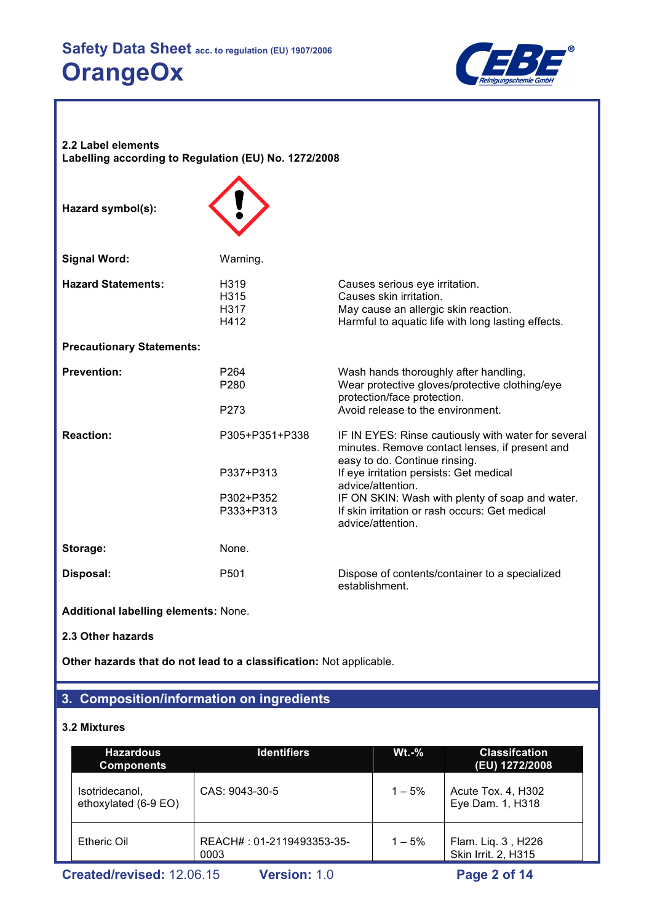

**2.2 Label elements Labelling according to Regulation (EU) No. 1272/2008**

**Hazard symbol(s):**



| <b>Signal Word:</b>              | Warning.                                  |                                                                                                                                                         |
|----------------------------------|-------------------------------------------|---------------------------------------------------------------------------------------------------------------------------------------------------------|
| <b>Hazard Statements:</b>        | H <sub>3</sub> 19<br>H315<br>H317<br>H412 | Causes serious eye irritation.<br>Causes skin irritation.<br>May cause an allergic skin reaction.<br>Harmful to aquatic life with long lasting effects. |
| <b>Precautionary Statements:</b> |                                           |                                                                                                                                                         |
| <b>Prevention:</b>               | P <sub>264</sub><br>P280                  | Wash hands thoroughly after handling.<br>Wear protective gloves/protective clothing/eye<br>protection/face protection.                                  |
|                                  | P273                                      | Avoid release to the environment.                                                                                                                       |
| <b>Reaction:</b>                 | P305+P351+P338                            | IF IN EYES: Rinse cautiously with water for several<br>minutes. Remove contact lenses, if present and<br>easy to do. Continue rinsing.                  |
|                                  | P337+P313                                 | If eye irritation persists: Get medical<br>advice/attention.                                                                                            |
|                                  | P302+P352<br>P333+P313                    | IF ON SKIN: Wash with plenty of soap and water.<br>If skin irritation or rash occurs: Get medical<br>advice/attention.                                  |
| Storage:                         | None.                                     |                                                                                                                                                         |
| Disposal:                        | P501                                      | Dispose of contents/container to a specialized<br>establishment.                                                                                        |

**Additional labelling elements:** None.

**2.3 Other hazards**

**Other hazards that do not lead to a classification:** Not applicable.

## **3. Composition/information on ingredients**

## **3.2 Mixtures**

| <b>Hazardous</b><br><b>Components</b>  | <b>Identifiers</b>                | $Wt.-%$   | <b>Classifcation</b><br>(EU) 1272/2008    |
|----------------------------------------|-----------------------------------|-----------|-------------------------------------------|
| Isotridecanol,<br>ethoxylated (6-9 EO) | CAS: 9043-30-5                    | $1 - 5\%$ | Acute Tox. 4, H302<br>Eye Dam. 1, H318    |
| Etheric Oil                            | REACH#: 01-2119493353-35-<br>0003 | $1 - 5\%$ | Flam. Liq. 3, H226<br>Skin Irrit. 2, H315 |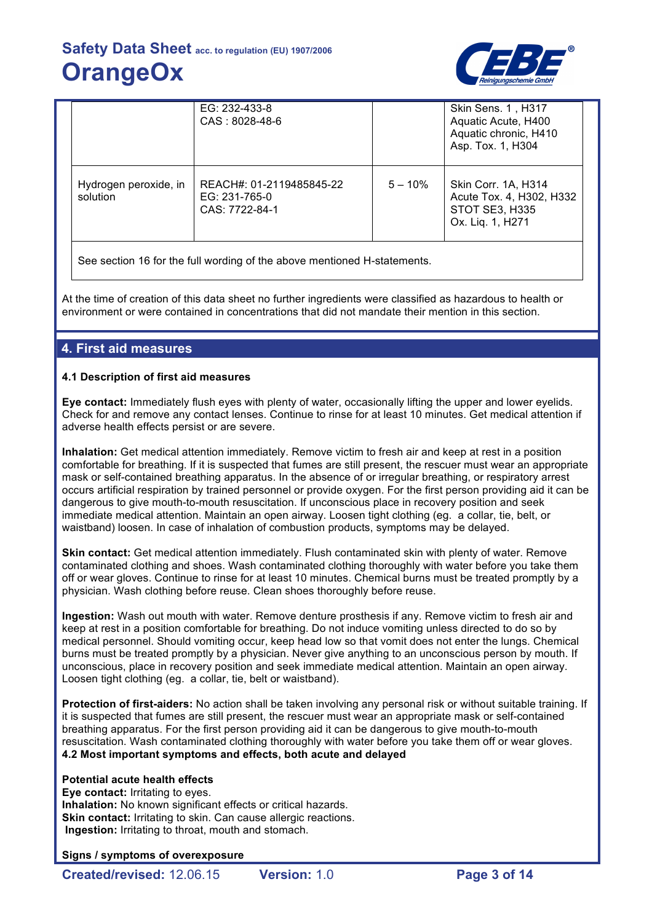

|                                   | EG: 232-433-8<br>CAS: 8028-48-6                             |           | Skin Sens. 1, H317<br>Aquatic Acute, H400<br>Aquatic chronic, H410<br>Asp. Tox. 1, H304 |
|-----------------------------------|-------------------------------------------------------------|-----------|-----------------------------------------------------------------------------------------|
| Hydrogen peroxide, in<br>solution | REACH#: 01-2119485845-22<br>EG: 231-765-0<br>CAS: 7722-84-1 | $5 - 10%$ | Skin Corr. 1A, H314<br>Acute Tox. 4, H302, H332<br>STOT SE3, H335<br>Ox. Liq. 1, H271   |

See section 16 for the full wording of the above mentioned H-statements.

At the time of creation of this data sheet no further ingredients were classified as hazardous to health or environment or were contained in concentrations that did not mandate their mention in this section.

## **4. First aid measures**

## **4.1 Description of first aid measures**

**Eye contact:** Immediately flush eyes with plenty of water, occasionally lifting the upper and lower eyelids. Check for and remove any contact lenses. Continue to rinse for at least 10 minutes. Get medical attention if adverse health effects persist or are severe.

**Inhalation:** Get medical attention immediately. Remove victim to fresh air and keep at rest in a position comfortable for breathing. If it is suspected that fumes are still present, the rescuer must wear an appropriate mask or self-contained breathing apparatus. In the absence of or irregular breathing, or respiratory arrest occurs artificial respiration by trained personnel or provide oxygen. For the first person providing aid it can be dangerous to give mouth-to-mouth resuscitation. If unconscious place in recovery position and seek immediate medical attention. Maintain an open airway. Loosen tight clothing (eg. a collar, tie, belt, or waistband) loosen. In case of inhalation of combustion products, symptoms may be delayed.

**Skin contact:** Get medical attention immediately. Flush contaminated skin with plenty of water. Remove contaminated clothing and shoes. Wash contaminated clothing thoroughly with water before you take them off or wear gloves. Continue to rinse for at least 10 minutes. Chemical burns must be treated promptly by a physician. Wash clothing before reuse. Clean shoes thoroughly before reuse.

**Ingestion:** Wash out mouth with water. Remove denture prosthesis if any. Remove victim to fresh air and keep at rest in a position comfortable for breathing. Do not induce vomiting unless directed to do so by medical personnel. Should vomiting occur, keep head low so that vomit does not enter the lungs. Chemical burns must be treated promptly by a physician. Never give anything to an unconscious person by mouth. If unconscious, place in recovery position and seek immediate medical attention. Maintain an open airway. Loosen tight clothing (eg. a collar, tie, belt or waistband).

**Protection of first-aiders:** No action shall be taken involving any personal risk or without suitable training. If it is suspected that fumes are still present, the rescuer must wear an appropriate mask or self-contained breathing apparatus. For the first person providing aid it can be dangerous to give mouth-to-mouth resuscitation. Wash contaminated clothing thoroughly with water before you take them off or wear gloves. **4.2 Most important symptoms and effects, both acute and delayed**

### **Potential acute health effects**

**Eye contact:** Irritating to eyes. **Inhalation:** No known significant effects or critical hazards. **Skin contact: Irritating to skin. Can cause allergic reactions. Ingestion:** Irritating to throat, mouth and stomach.

### **Signs / symptoms of overexposure**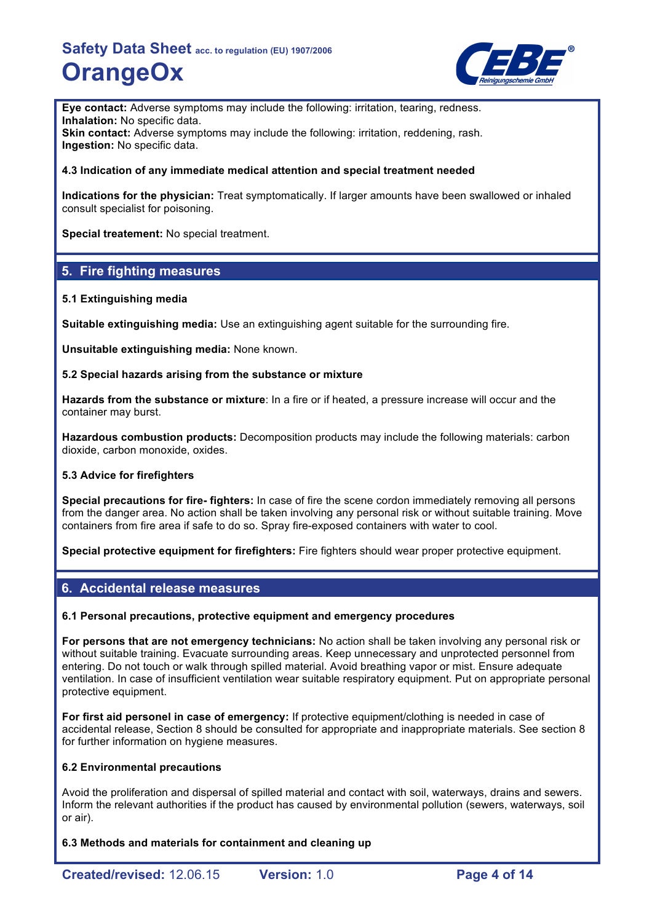

**Eye contact:** Adverse symptoms may include the following: irritation, tearing, redness. **Inhalation:** No specific data. **Skin contact:** Adverse symptoms may include the following: irritation, reddening, rash. **Ingestion:** No specific data.

### **4.3 Indication of any immediate medical attention and special treatment needed**

**Indications for the physician:** Treat symptomatically. If larger amounts have been swallowed or inhaled consult specialist for poisoning.

**Special treatement:** No special treatment.

## **5. Fire fighting measures**

### **5.1 Extinguishing media**

**Suitable extinguishing media:** Use an extinguishing agent suitable for the surrounding fire.

**Unsuitable extinguishing media:** None known.

### **5.2 Special hazards arising from the substance or mixture**

**Hazards from the substance or mixture**: In a fire or if heated, a pressure increase will occur and the container may burst.

**Hazardous combustion products:** Decomposition products may include the following materials: carbon dioxide, carbon monoxide, oxides.

### **5.3 Advice for firefighters**

**Special precautions for fire- fighters:** In case of fire the scene cordon immediately removing all persons from the danger area. No action shall be taken involving any personal risk or without suitable training. Move containers from fire area if safe to do so. Spray fire-exposed containers with water to cool.

**Special protective equipment for firefighters:** Fire fighters should wear proper protective equipment.

## **6. Accidental release measures**

### **6.1 Personal precautions, protective equipment and emergency procedures**

**For persons that are not emergency technicians:** No action shall be taken involving any personal risk or without suitable training. Evacuate surrounding areas. Keep unnecessary and unprotected personnel from entering. Do not touch or walk through spilled material. Avoid breathing vapor or mist. Ensure adequate ventilation. In case of insufficient ventilation wear suitable respiratory equipment. Put on appropriate personal protective equipment.

**For first aid personel in case of emergency:** If protective equipment/clothing is needed in case of accidental release, Section 8 should be consulted for appropriate and inappropriate materials. See section 8 for further information on hygiene measures.

### **6.2 Environmental precautions**

Avoid the proliferation and dispersal of spilled material and contact with soil, waterways, drains and sewers. Inform the relevant authorities if the product has caused by environmental pollution (sewers, waterways, soil or air).

**6.3 Methods and materials for containment and cleaning up**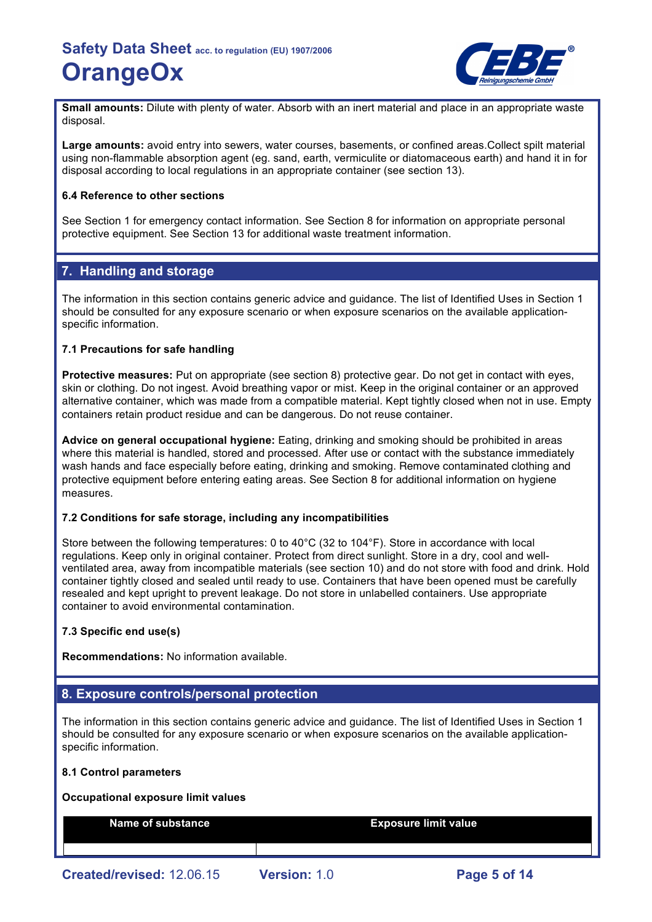

**Small amounts:** Dilute with plenty of water. Absorb with an inert material and place in an appropriate waste disposal.

**Large amounts:** avoid entry into sewers, water courses, basements, or confined areas.Collect spilt material using non-flammable absorption agent (eg. sand, earth, vermiculite or diatomaceous earth) and hand it in for disposal according to local regulations in an appropriate container (see section 13).

#### **6.4 Reference to other sections**

See Section 1 for emergency contact information. See Section 8 for information on appropriate personal protective equipment. See Section 13 for additional waste treatment information.

## **7. Handling and storage**

The information in this section contains generic advice and guidance. The list of Identified Uses in Section 1 should be consulted for any exposure scenario or when exposure scenarios on the available applicationspecific information.

#### **7.1 Precautions for safe handling**

**Protective measures:** Put on appropriate (see section 8) protective gear. Do not get in contact with eyes, skin or clothing. Do not ingest. Avoid breathing vapor or mist. Keep in the original container or an approved alternative container, which was made from a compatible material. Kept tightly closed when not in use. Empty containers retain product residue and can be dangerous. Do not reuse container.

**Advice on general occupational hygiene:** Eating, drinking and smoking should be prohibited in areas where this material is handled, stored and processed. After use or contact with the substance immediately wash hands and face especially before eating, drinking and smoking. Remove contaminated clothing and protective equipment before entering eating areas. See Section 8 for additional information on hygiene measures.

#### **7.2 Conditions for safe storage, including any incompatibilities**

Store between the following temperatures: 0 to 40°C (32 to 104°F). Store in accordance with local regulations. Keep only in original container. Protect from direct sunlight. Store in a dry, cool and wellventilated area, away from incompatible materials (see section 10) and do not store with food and drink. Hold container tightly closed and sealed until ready to use. Containers that have been opened must be carefully resealed and kept upright to prevent leakage. Do not store in unlabelled containers. Use appropriate container to avoid environmental contamination.

## **7.3 Specific end use(s)**

**Recommendations:** No information available.

## **8. Exposure controls/personal protection**

The information in this section contains generic advice and guidance. The list of Identified Uses in Section 1 should be consulted for any exposure scenario or when exposure scenarios on the available applicationspecific information.

#### **8.1 Control parameters**

#### **Occupational exposure limit values**

**Name of substance Exposure limit value**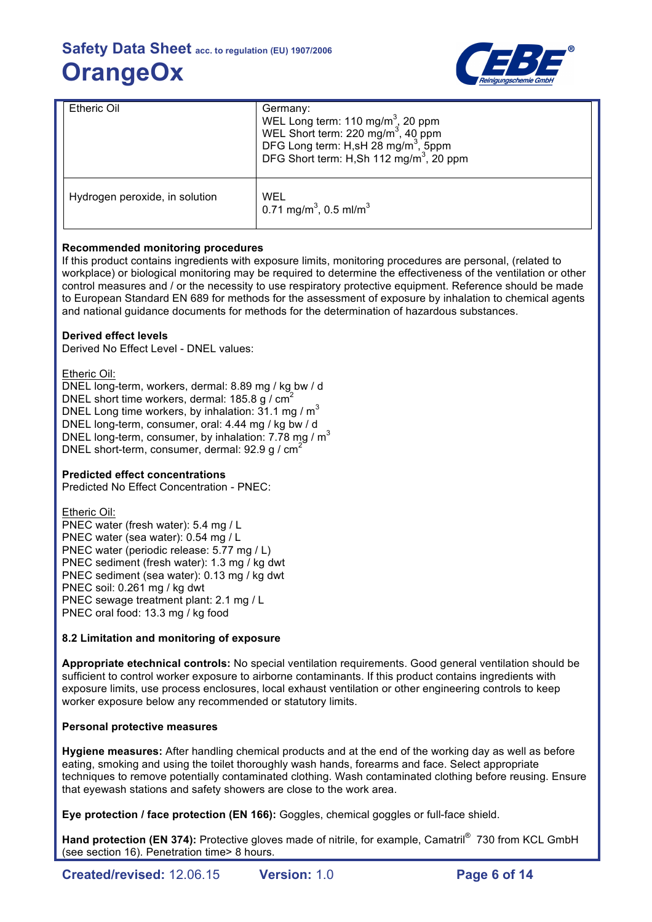

| <b>Etheric Oil</b>             | Germany:<br>WEL Long term: 110 mg/m <sup>3</sup> , 20 ppm<br>WEL Short term: 220 mg/m <sup>3</sup> , 40 ppm<br>DFG Long term: H,sH 28 mg/m <sup>3</sup> , 5ppm<br>DFG Short term: H,Sh 112 mg/m <sup>3</sup> , 20 ppm |
|--------------------------------|-----------------------------------------------------------------------------------------------------------------------------------------------------------------------------------------------------------------------|
| Hydrogen peroxide, in solution | WEL<br>0.71 mg/m <sup>3</sup> , 0.5 ml/m <sup>3</sup>                                                                                                                                                                 |

## **Recommended monitoring procedures**

If this product contains ingredients with exposure limits, monitoring procedures are personal, (related to workplace) or biological monitoring may be required to determine the effectiveness of the ventilation or other control measures and / or the necessity to use respiratory protective equipment. Reference should be made to European Standard EN 689 for methods for the assessment of exposure by inhalation to chemical agents and national guidance documents for methods for the determination of hazardous substances.

## **Derived effect levels**

Derived No Effect Level - DNEL values:

Etheric Oil:

DNEL long-term, workers, dermal: 8.89 mg / kg bw / d DNEL short time workers, dermal: 185.8 g / cm<sup>2</sup> DNEL Long time workers, by inhalation:  $31.1$  mg /  $m<sup>3</sup>$ DNEL long-term, consumer, oral: 4.44 mg / kg bw / d DNEL long-term, consumer, by inhalation: 7.78 mg / m<sup>3</sup> DNEL short-term, consumer, dermal: 92.9 g / cm<sup>2</sup>

## **Predicted effect concentrations**

Predicted No Effect Concentration - PNEC:

Etheric Oil: PNEC water (fresh water): 5.4 mg / L PNEC water (sea water): 0.54 mg / L PNEC water (periodic release: 5.77 mg / L) PNEC sediment (fresh water): 1.3 mg / kg dwt PNEC sediment (sea water): 0.13 mg / kg dwt PNEC soil: 0.261 mg / kg dwt PNEC sewage treatment plant: 2.1 mg / L PNEC oral food: 13.3 mg / kg food

### **8.2 Limitation and monitoring of exposure**

**Appropriate etechnical controls:** No special ventilation requirements. Good general ventilation should be sufficient to control worker exposure to airborne contaminants. If this product contains ingredients with exposure limits, use process enclosures, local exhaust ventilation or other engineering controls to keep worker exposure below any recommended or statutory limits.

## **Personal protective measures**

**Hygiene measures:** After handling chemical products and at the end of the working day as well as before eating, smoking and using the toilet thoroughly wash hands, forearms and face. Select appropriate techniques to remove potentially contaminated clothing. Wash contaminated clothing before reusing. Ensure that eyewash stations and safety showers are close to the work area.

**Eye protection / face protection (EN 166):** Goggles, chemical goggles or full-face shield.

Hand protection (EN 374): Protective gloves made of nitrile, for example, Camatril<sup>®</sup> 730 from KCL GmbH (see section 16). Penetration time> 8 hours.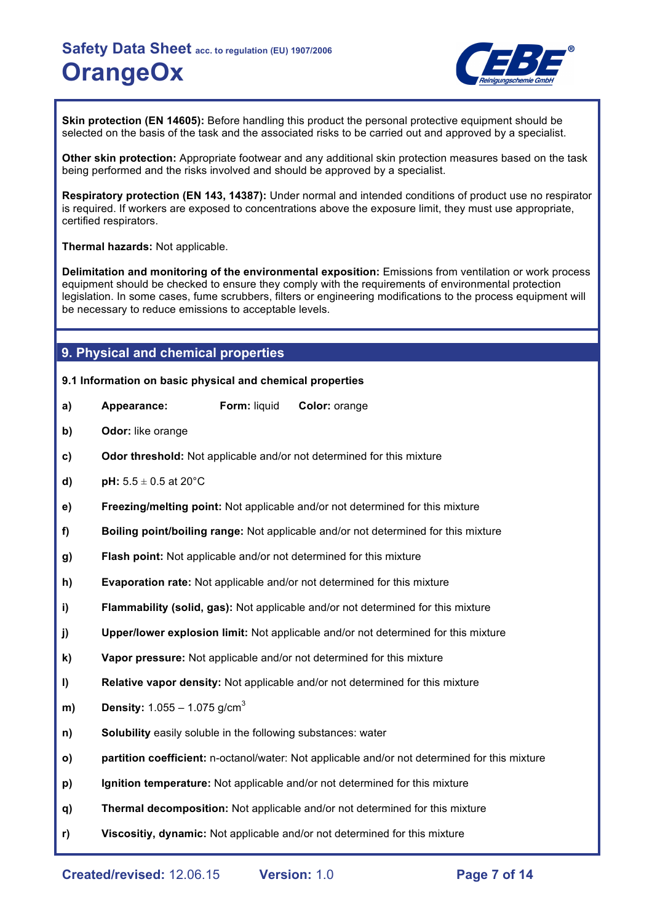

**Skin protection (EN 14605):** Before handling this product the personal protective equipment should be selected on the basis of the task and the associated risks to be carried out and approved by a specialist.

**Other skin protection:** Appropriate footwear and any additional skin protection measures based on the task being performed and the risks involved and should be approved by a specialist.

**Respiratory protection (EN 143, 14387):** Under normal and intended conditions of product use no respirator is required. If workers are exposed to concentrations above the exposure limit, they must use appropriate, certified respirators.

**Thermal hazards:** Not applicable.

**Delimitation and monitoring of the environmental exposition:** Emissions from ventilation or work process equipment should be checked to ensure they comply with the requirements of environmental protection legislation. In some cases, fume scrubbers, filters or engineering modifications to the process equipment will be necessary to reduce emissions to acceptable levels.

## **9. Physical and chemical properties**

#### **9.1 Information on basic physical and chemical properties**

- **a) Appearance: Form:** liquid **Color:** orange
- **b) Odor:** like orange
- **c) Odor threshold:** Not applicable and/or not determined for this mixture
- **d) pH:**  $5.5 \pm 0.5$  at 20 $^{\circ}$ C
- **e) Freezing/melting point:** Not applicable and/or not determined for this mixture
- **f) Boiling point/boiling range:** Not applicable and/or not determined for this mixture
- **g) Flash point:** Not applicable and/or not determined for this mixture
- **h) Evaporation rate:** Not applicable and/or not determined for this mixture
- **i) Flammability (solid, gas):** Not applicable and/or not determined for this mixture
- **j) Upper/lower explosion limit:** Not applicable and/or not determined for this mixture
- **k) Vapor pressure:** Not applicable and/or not determined for this mixture
- **l) Relative vapor density:** Not applicable and/or not determined for this mixture
- **m) Density:**  $1.055 1.075$  g/cm<sup>3</sup>
- **n) Solubility** easily soluble in the following substances: water
- **o) partition coefficient:** n-octanol/water: Not applicable and/or not determined for this mixture
- **p) Ignition temperature:** Not applicable and/or not determined for this mixture
- **q) Thermal decomposition:** Not applicable and/or not determined for this mixture
- **r) Viscositiy, dynamic:** Not applicable and/or not determined for this mixture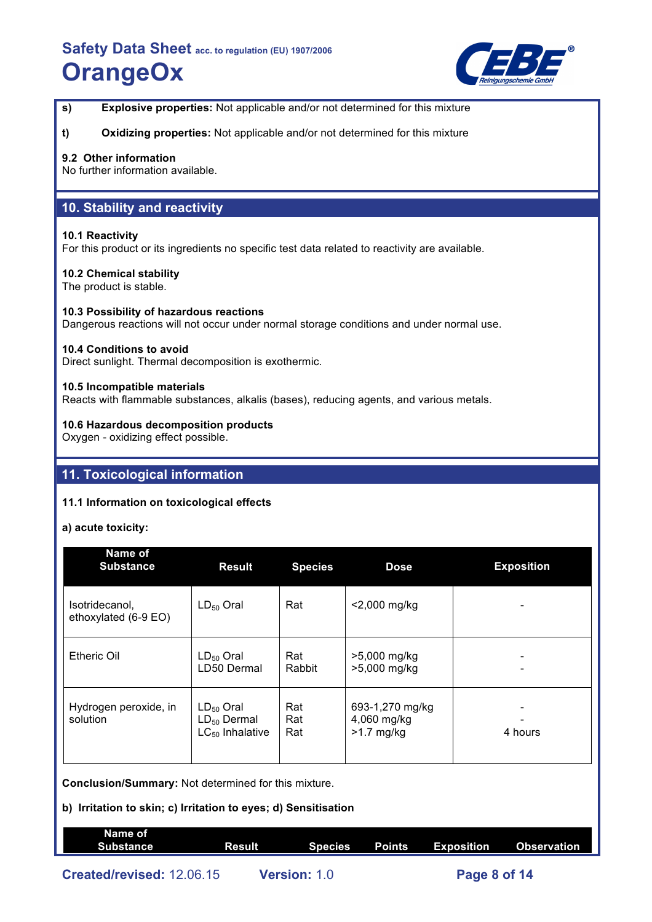

**s) Explosive properties:** Not applicable and/or not determined for this mixture

**t) Oxidizing properties:** Not applicable and/or not determined for this mixture

## **9.2 Other information**

No further information available.

## **10. Stability and reactivity**

#### **10.1 Reactivity**

For this product or its ingredients no specific test data related to reactivity are available.

### **10.2 Chemical stability**

The product is stable.

#### **10.3 Possibility of hazardous reactions**

Dangerous reactions will not occur under normal storage conditions and under normal use.

#### **10.4 Conditions to avoid**

Direct sunlight. Thermal decomposition is exothermic.

#### **10.5 Incompatible materials**

Reacts with flammable substances, alkalis (bases), reducing agents, and various metals.

### **10.6 Hazardous decomposition products**

Oxygen - oxidizing effect possible.

## **11. Toxicological information**

### **11.1 Information on toxicological effects**

### **a) acute toxicity:**

| Name of<br><b>Substance</b>            | <b>Result</b>                                              | <b>Species</b>    | <b>Dose</b>                                    | <b>Exposition</b> |
|----------------------------------------|------------------------------------------------------------|-------------------|------------------------------------------------|-------------------|
| Isotridecanol,<br>ethoxylated (6-9 EO) | $LD_{50}$ Oral                                             | Rat               | <2,000 mg/kg                                   |                   |
| <b>Etheric Oil</b>                     | $LD_{50}$ Oral<br>LD50 Dermal                              | Rat<br>Rabbit     | >5,000 mg/kg<br>>5,000 mg/kg                   |                   |
| Hydrogen peroxide, in<br>solution      | $LD_{50}$ Oral<br>$LD_{50}$ Dermal<br>$LC_{50}$ Inhalative | Rat<br>Rat<br>Rat | 693-1,270 mg/kg<br>4,060 mg/kg<br>$>1.7$ mg/kg | 4 hours           |

**Conclusion/Summary:** Not determined for this mixture.

## **b) Irritation to skin; c) Irritation to eyes; d) Sensitisation**

| Name of<br>Substance      | Result | Species             | Points Exposition | Observation |
|---------------------------|--------|---------------------|-------------------|-------------|
| Created/revised: 12.06.15 |        | <b>Version: 1.0</b> | Page 8 of 14      |             |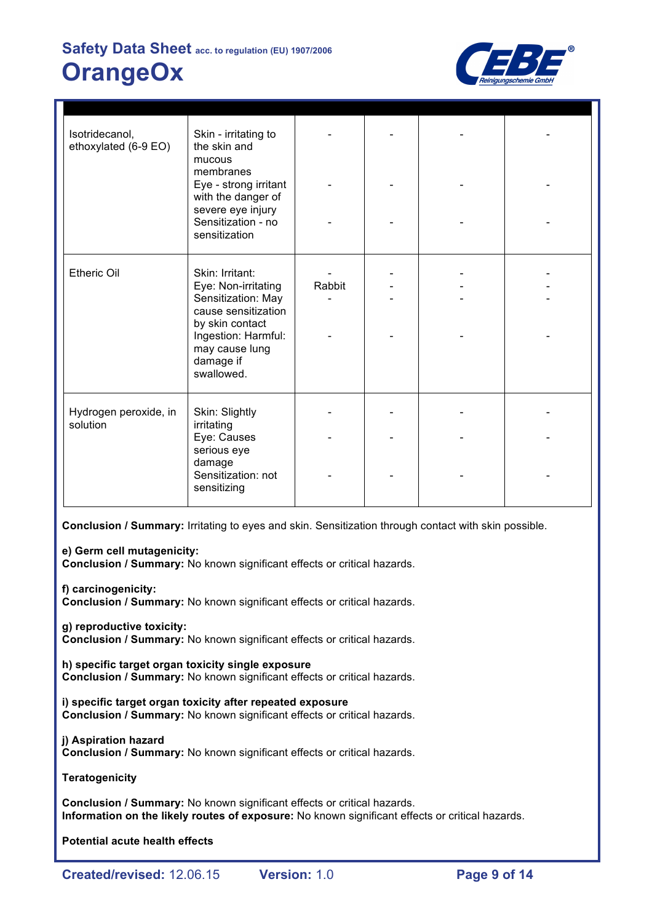

| Isotridecanol,<br>ethoxylated (6-9 EO) | Skin - irritating to<br>the skin and<br>mucous<br>membranes<br>Eye - strong irritant<br>with the danger of<br>severe eye injury<br>Sensitization - no<br>sensitization     |        |  |  |
|----------------------------------------|----------------------------------------------------------------------------------------------------------------------------------------------------------------------------|--------|--|--|
| <b>Etheric Oil</b>                     | Skin: Irritant:<br>Eye: Non-irritating<br>Sensitization: May<br>cause sensitization<br>by skin contact<br>Ingestion: Harmful:<br>may cause lung<br>damage if<br>swallowed. | Rabbit |  |  |
| Hydrogen peroxide, in<br>solution      | Skin: Slightly<br>irritating<br>Eye: Causes<br>serious eye<br>damage                                                                                                       |        |  |  |
|                                        | Sensitization: not<br>sensitizing                                                                                                                                          |        |  |  |

**Conclusion / Summary:** Irritating to eyes and skin. Sensitization through contact with skin possible.

**e) Germ cell mutagenicity:**

**Conclusion / Summary:** No known significant effects or critical hazards.

**f) carcinogenicity:**

**Conclusion / Summary:** No known significant effects or critical hazards.

**g) reproductive toxicity:**

**Conclusion / Summary:** No known significant effects or critical hazards.

**h) specific target organ toxicity single exposure Conclusion / Summary:** No known significant effects or critical hazards.

**i) specific target organ toxicity after repeated exposure Conclusion / Summary:** No known significant effects or critical hazards.

**j) Aspiration hazard Conclusion / Summary:** No known significant effects or critical hazards.

**Teratogenicity**

**Conclusion / Summary:** No known significant effects or critical hazards. **Information on the likely routes of exposure:** No known significant effects or critical hazards.

**Potential acute health effects**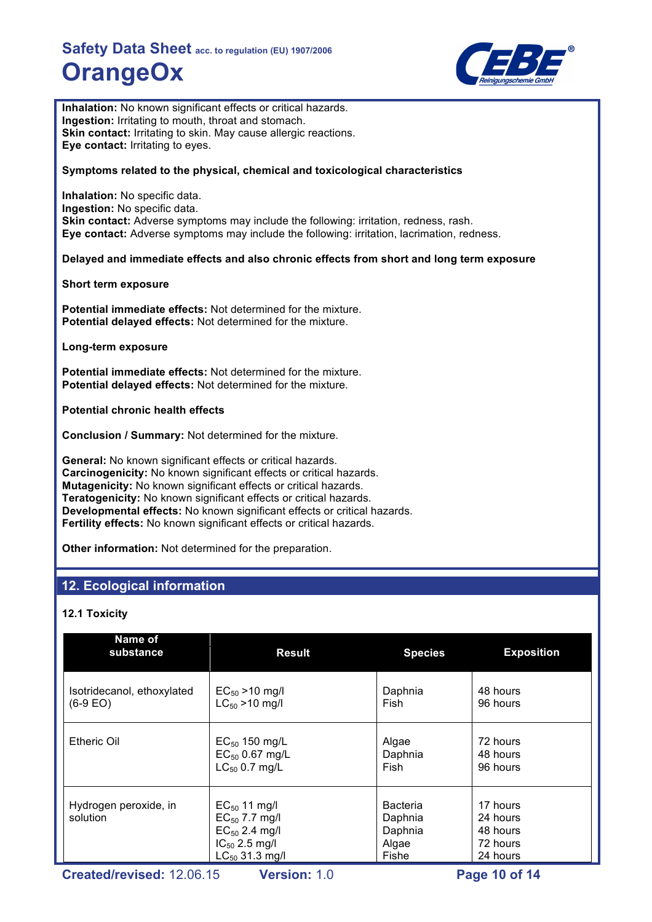

**Inhalation:** No known significant effects or critical hazards. **Ingestion:** Irritating to mouth, throat and stomach. **Skin contact:** Irritating to skin. May cause allergic reactions. **Eye contact:** Irritating to eyes.

#### **Symptoms related to the physical, chemical and toxicological characteristics**

**Inhalation:** No specific data. **Ingestion:** No specific data. **Skin contact:** Adverse symptoms may include the following: irritation, redness, rash. **Eye contact:** Adverse symptoms may include the following: irritation, lacrimation, redness.

#### **Delayed and immediate effects and also chronic effects from short and long term exposure**

**Short term exposure**

**Potential immediate effects:** Not determined for the mixture. **Potential delayed effects:** Not determined for the mixture.

#### **Long-term exposure**

**Potential immediate effects:** Not determined for the mixture. **Potential delayed effects:** Not determined for the mixture.

**Potential chronic health effects**

**Conclusion / Summary:** Not determined for the mixture.

**General:** No known significant effects or critical hazards. **Carcinogenicity:** No known significant effects or critical hazards. **Mutagenicity:** No known significant effects or critical hazards. **Teratogenicity:** No known significant effects or critical hazards. **Developmental effects:** No known significant effects or critical hazards. **Fertility effects:** No known significant effects or critical hazards.

**Other information:** Not determined for the preparation.

## **12. Ecological information**

### **12.1 Toxicity**

| Name of<br>substance              | <b>Result</b>                                                                                              | <b>Species</b>                                          | <b>Exposition</b>                                        |
|-----------------------------------|------------------------------------------------------------------------------------------------------------|---------------------------------------------------------|----------------------------------------------------------|
| Isotridecanol, ethoxylated        | $EC_{50} > 10$ mg/l                                                                                        | Daphnia                                                 | 48 hours                                                 |
| $(6-9 EO)$                        | $LC_{50}$ > 10 mg/l                                                                                        | Fish.                                                   | 96 hours                                                 |
| Etheric Oil                       | $EC_{50}$ 150 mg/L                                                                                         | Algae                                                   | 72 hours                                                 |
|                                   | $EC_{50}$ 0.67 mg/L                                                                                        | Daphnia                                                 | 48 hours                                                 |
|                                   | $LC_{50}$ 0.7 mg/L                                                                                         | Fish                                                    | 96 hours                                                 |
| Hydrogen peroxide, in<br>solution | $EC_{50}$ 11 mg/l<br>$EC_{50}$ 7.7 mg/l<br>$EC_{50}$ 2.4 mg/l<br>$IC_{50}$ 2.5 mg/l<br>$LC_{50}$ 31.3 mg/l | <b>Bacteria</b><br>Daphnia<br>Daphnia<br>Algae<br>Fishe | 17 hours<br>24 hours<br>48 hours<br>72 hours<br>24 hours |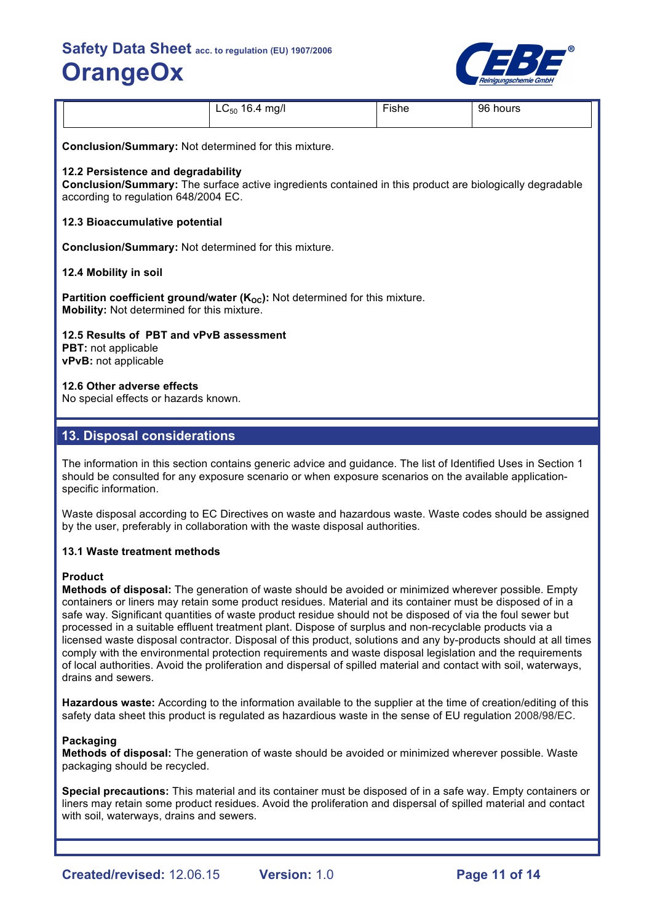

| $\overline{\phantom{a}}$<br>$LC_{50}$<br>1 Q<br>mq/l<br>.0.4<br>$\cdot$ | $\mathsf{F}$ ishe<br>__ | 96<br>hours |
|-------------------------------------------------------------------------|-------------------------|-------------|
|-------------------------------------------------------------------------|-------------------------|-------------|

**Conclusion/Summary:** Not determined for this mixture.

#### **12.2 Persistence and degradability**

**Conclusion/Summary:** The surface active ingredients contained in this product are biologically degradable according to regulation 648/2004 EC.

#### **12.3 Bioaccumulative potential**

**Conclusion/Summary:** Not determined for this mixture.

#### **12.4 Mobility in soil**

**Partition coefficient ground/water (K<sub>oc</sub>):** Not determined for this mixture. **Mobility:** Not determined for this mixture.

**12.5 Results of PBT and vPvB assessment**

**PBT:** not applicable **vPvB:** not applicable

## **12.6 Other adverse effects**

No special effects or hazards known.

## **13. Disposal considerations**

The information in this section contains generic advice and guidance. The list of Identified Uses in Section 1 should be consulted for any exposure scenario or when exposure scenarios on the available applicationspecific information.

Waste disposal according to EC Directives on waste and hazardous waste. Waste codes should be assigned by the user, preferably in collaboration with the waste disposal authorities.

### **13.1 Waste treatment methods**

#### **Product**

**Methods of disposal:** The generation of waste should be avoided or minimized wherever possible. Empty containers or liners may retain some product residues. Material and its container must be disposed of in a safe way. Significant quantities of waste product residue should not be disposed of via the foul sewer but processed in a suitable effluent treatment plant. Dispose of surplus and non-recyclable products via a licensed waste disposal contractor. Disposal of this product, solutions and any by-products should at all times comply with the environmental protection requirements and waste disposal legislation and the requirements of local authorities. Avoid the proliferation and dispersal of spilled material and contact with soil, waterways, drains and sewers.

**Hazardous waste:** According to the information available to the supplier at the time of creation/editing of this safety data sheet this product is regulated as hazardious waste in the sense of EU regulation 2008/98/EC.

#### **Packaging**

**Methods of disposal:** The generation of waste should be avoided or minimized wherever possible. Waste packaging should be recycled.

**Special precautions:** This material and its container must be disposed of in a safe way. Empty containers or liners may retain some product residues. Avoid the proliferation and dispersal of spilled material and contact with soil, waterways, drains and sewers.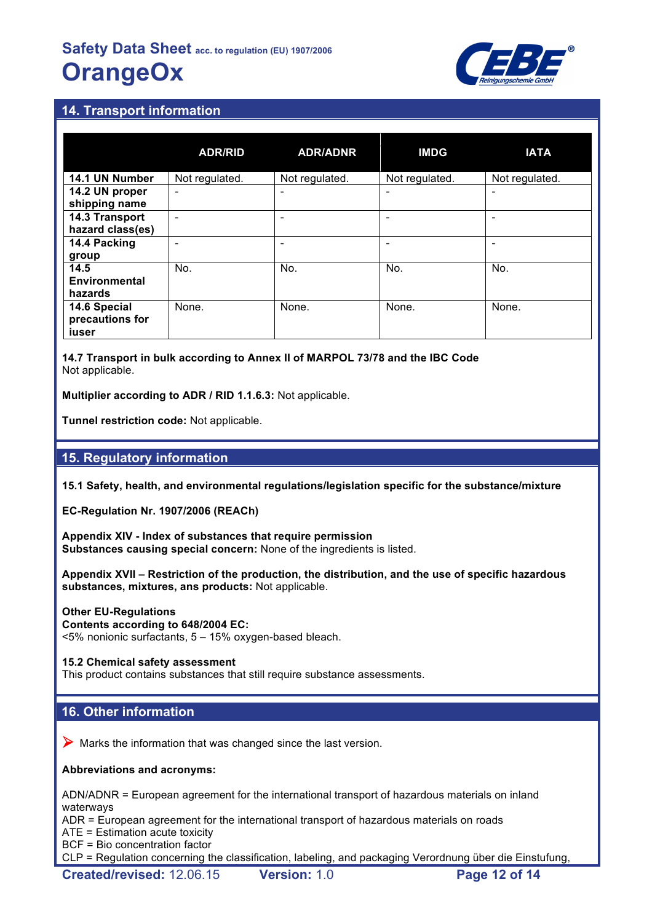

## **14. Transport information**

|                                          | <b>ADR/RID</b>           | <b>ADR/ADNR</b> | <b>IMDG</b>    | <b>IATA</b>    |
|------------------------------------------|--------------------------|-----------------|----------------|----------------|
| 14.1 UN Number                           | Not regulated.           | Not regulated.  | Not regulated. | Not regulated. |
| 14.2 UN proper<br>shipping name          | $\overline{\phantom{0}}$ |                 |                | ۰              |
| 14.3 Transport<br>hazard class(es)       |                          |                 |                | ۰              |
| 14.4 Packing<br>group                    |                          | ۰               |                | -              |
| 14.5<br><b>Environmental</b><br>hazards  | No.                      | No.             | No.            | No.            |
| 14.6 Special<br>precautions for<br>iuser | None.                    | None.           | None.          | None.          |

**14.7 Transport in bulk according to Annex II of MARPOL 73/78 and the IBC Code** Not applicable.

**Multiplier according to ADR / RID 1.1.6.3:** Not applicable.

**Tunnel restriction code:** Not applicable.

## **15. Regulatory information**

**15.1 Safety, health, and environmental regulations/legislation specific for the substance/mixture**

**EC-Regulation Nr. 1907/2006 (REACh)**

**Appendix XIV - Index of substances that require permission Substances causing special concern:** None of the ingredients is listed.

**Appendix XVII – Restriction of the production, the distribution, and the use of specific hazardous substances, mixtures, ans products:** Not applicable.

#### **Other EU-Regulations**

#### **Contents according to 648/2004 EC:**

<5% nonionic surfactants, 5 – 15% oxygen-based bleach.

#### **15.2 Chemical safety assessment**

This product contains substances that still require substance assessments.

## **16. Other information**

 $\triangleright$  Marks the information that was changed since the last version.

#### **Abbreviations and acronyms:**

ADN/ADNR = European agreement for the international transport of hazardous materials on inland waterways

ADR = European agreement for the international transport of hazardous materials on roads

ATE = Estimation acute toxicity

BCF = Bio concentration factor

CLP = Regulation concerning the classification, labeling, and packaging Verordnung über die Einstufung,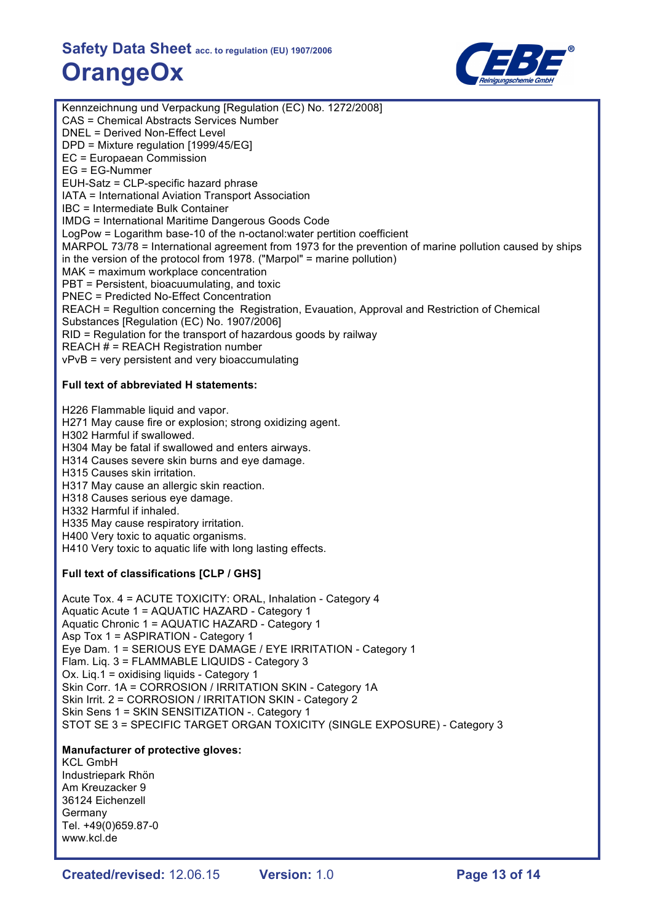

Kennzeichnung und Verpackung [Regulation (EC) No. 1272/2008] CAS = Chemical Abstracts Services Number DNEL = Derived Non-Effect Level DPD = Mixture regulation [1999/45/EG] EC = Europaean Commission EG = EG-Nummer EUH-Satz = CLP-specific hazard phrase IATA = International Aviation Transport Association IBC = Intermediate Bulk Container IMDG = International Maritime Dangerous Goods Code LogPow = Logarithm base-10 of the n-octanol:water pertition coefficient MARPOL 73/78 = International agreement from 1973 for the prevention of marine pollution caused by ships in the version of the protocol from 1978. ("Marpol" = marine pollution) MAK = maximum workplace concentration PBT = Persistent, bioacuumulating, and toxic PNEC = Predicted No-Effect Concentration REACH = Regultion concerning the Registration, Evauation, Approval and Restriction of Chemical Substances [Regulation (EC) No. 1907/2006] RID = Regulation for the transport of hazardous goods by railway REACH # = REACH Registration number vPvB = very persistent and very bioaccumulating **Full text of abbreviated H statements:** H226 Flammable liquid and vapor. H271 May cause fire or explosion; strong oxidizing agent. H302 Harmful if swallowed. H304 May be fatal if swallowed and enters airways. H314 Causes severe skin burns and eye damage. H315 Causes skin irritation. H317 May cause an allergic skin reaction. H318 Causes serious eye damage. H332 Harmful if inhaled. H335 May cause respiratory irritation. H400 Very toxic to aquatic organisms. H410 Very toxic to aquatic life with long lasting effects. **Full text of classifications [CLP / GHS]** Acute Tox. 4 = ACUTE TOXICITY: ORAL, Inhalation - Category 4 Aquatic Acute 1 = AQUATIC HAZARD - Category 1 Aquatic Chronic 1 = AQUATIC HAZARD - Category 1 Asp Tox 1 = ASPIRATION - Category 1 Eye Dam. 1 = SERIOUS EYE DAMAGE / EYE IRRITATION - Category 1 Flam. Liq. 3 = FLAMMABLE LIQUIDS - Category 3 Ox. Liq.1 = oxidising liquids - Category 1 Skin Corr. 1A = CORROSION / IRRITATION SKIN - Category 1A Skin Irrit. 2 = CORROSION / IRRITATION SKIN - Category 2 Skin Sens 1 = SKIN SENSITIZATION -. Category 1 STOT SE 3 = SPECIFIC TARGET ORGAN TOXICITY (SINGLE EXPOSURE) - Category 3 **Manufacturer of protective gloves:** KCL GmbH Industriepark Rhön Am Kreuzacker 9 36124 Eichenzell Germany Tel. +49(0)659.87-0

www.kcl.de